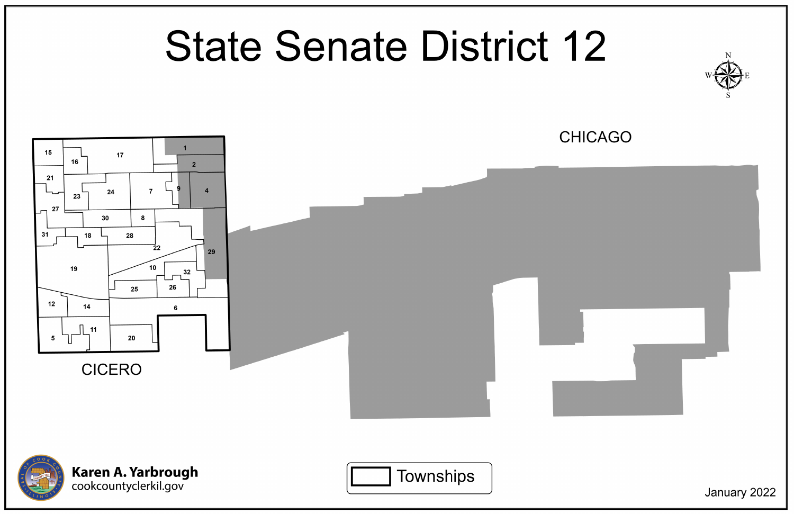## **State Senate District 12**











January 2022